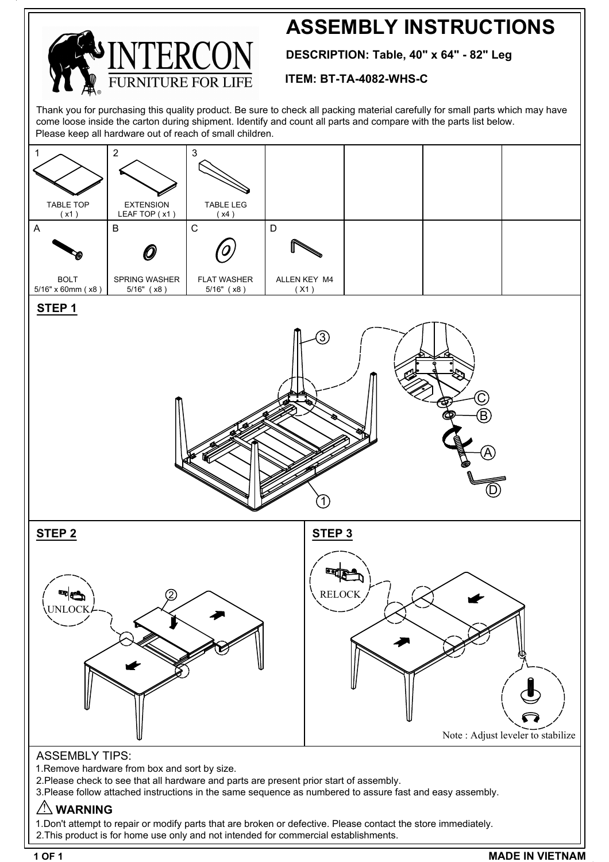## **ASSEMBLY INSTRUCTIONS**

**DESCRIPTION: Table, 40" x 64" - 82" Leg**

#### **ITEM: BT-TA-4082-WHS-C**

Thank you for purchasing this quality product. Be sure to check all packing material carefully for small parts which may have come loose inside the carton during shipment. Identify and count all parts and compare with the parts list below. Please keep all hardware out of reach of small children.



1.Don't attempt to repair or modify parts that are broken or defective. Please contact the store immediately. 2.This product is for home use only and not intended for commercial establishments.